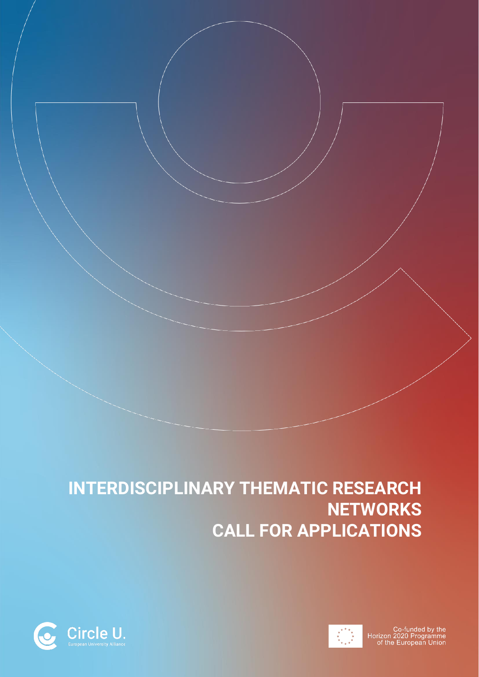# **INTERDISCIPLINARY THEMATIC RESEARCH NETWORKS CALL FOR APPLICATIONS**



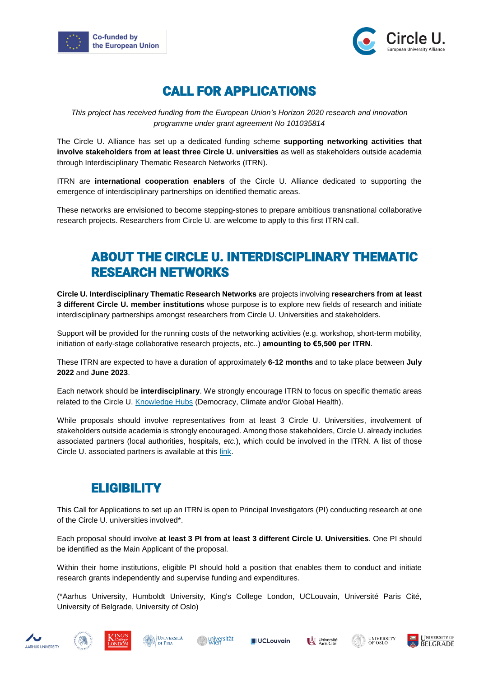



# CALL FOR APPLICATIONS

*This project has received funding from the European Union's Horizon 2020 research and innovation programme under grant agreement No 101035814*

The Circle U. Alliance has set up a dedicated funding scheme **supporting networking activities that involve stakeholders from at least three Circle U. universities** as well as stakeholders outside academia through Interdisciplinary Thematic Research Networks (ITRN).

ITRN are **international cooperation enablers** of the Circle U. Alliance dedicated to supporting the emergence of interdisciplinary partnerships on identified thematic areas.

These networks are envisioned to become stepping-stones to prepare ambitious transnational collaborative research projects. Researchers from Circle U. are welcome to apply to this first ITRN call.

# ABOUT THE CIRCLE U. INTERDISCIPLINARY THEMATIC RESEARCH NETWORKS

**Circle U. Interdisciplinary Thematic Research Networks** are projects involving **researchers from at least 3 different Circle U. member institutions** whose purpose is to explore new fields of research and initiate interdisciplinary partnerships amongst researchers from Circle U. Universities and stakeholders.

Support will be provided for the running costs of the networking activities (e.g. workshop, short-term mobility, initiation of early-stage collaborative research projects, etc..) **amounting to €5,500 per ITRN**.

These ITRN are expected to have a duration of approximately **6-12 months** and to take place between **July 2022** and **June 2023**.

Each network should be **interdisciplinary**. We strongly encourage ITRN to focus on specific thematic areas related to the Circle U. [Knowledge Hubs](https://www.circle-u.eu/initiatives/knowledge-hubs/) (Democracy, Climate and/or Global Health).

While proposals should involve representatives from at least 3 Circle U. Universities, involvement of stakeholders outside academia is strongly encouraged. Among those stakeholders, Circle U. already includes associated partners (local authorities, hospitals, *etc.*), which could be involved in the ITRN. A list of those Circle U. associated partners is available at this [link.](https://www.circle-u.eu/about/associated-partners/)

## **ELIGIBILITY**

This Call for Applications to set up an ITRN is open to Principal Investigators (PI) conducting research at one of the Circle U. universities involved\*.

Each proposal should involve **at least 3 PI from at least 3 different Circle U. Universities**. One PI should be identified as the Main Applicant of the proposal.

Within their home institutions, eligible PI should hold a position that enables them to conduct and initiate research grants independently and supervise funding and expenditures.

(\*Aarhus University, Humboldt University, King's College London, UCLouvain, Université Paris Cité, University of Belgrade, University of Oslo)













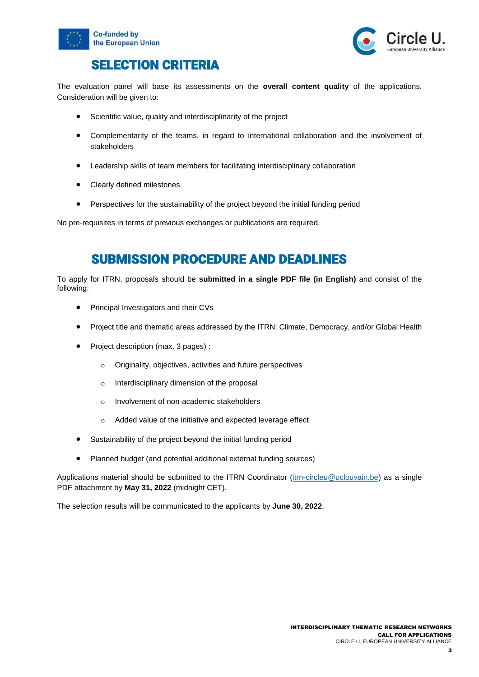



#### SELECTION CRITERIA

The evaluation panel will base its assessments on the **overall content quality** of the applications. Consideration will be given to:

- Scientific value, quality and interdisciplinarity of the project
- Complementarity of the teams, in regard to international collaboration and the involvement of stakeholders
- Leadership skills of team members for facilitating interdisciplinary collaboration
- Clearly defined milestones
- Perspectives for the sustainability of the project beyond the initial funding period

No pre-requisites in terms of previous exchanges or publications are required.

## SUBMISSION PROCEDURE AND DEADLINES

To apply for ITRN, proposals should be **submitted in a single PDF file (in English)** and consist of the following:

- **•** Principal Investigators and their CVs
- Project title and thematic areas addressed by the ITRN: Climate, Democracy, and/or Global Health
- Project description (max. 3 pages) :
	- o Originality, objectives, activities and future perspectives
	- o Interdisciplinary dimension of the proposal
	- o Involvement of non-academic stakeholders
	- o Added value of the initiative and expected leverage effect
- Sustainability of the project beyond the initial funding period
- Planned budget (and potential additional external funding sources)

Applications material should be submitted to the ITRN Coordinator [\(itrn-circleu@uclouvain.be\)](mailto:itrn-circleu@uclouvain.be) as a single PDF attachment by **May 31, 2022** (midnight CET).

The selection results will be communicated to the applicants by **June 30, 2022**.